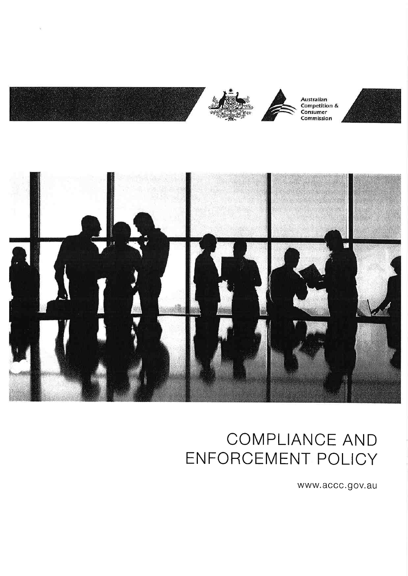

 $\tilde{\chi}$ 



## COMPLIANCE AND ENFORCEMENT POLICY

www.accc.gov.au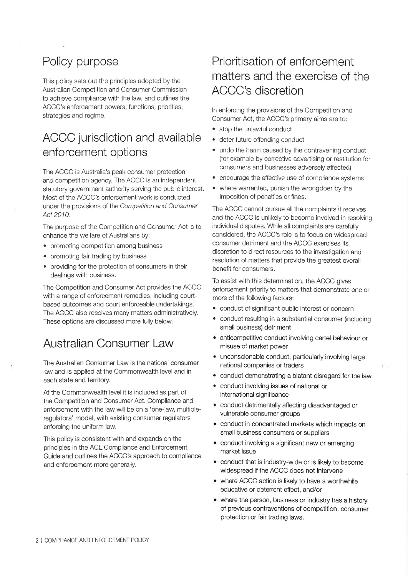## Policy purpose

This policy sets out the principles adopted by the Australian Competition and Consumer Commission to achieve compliance with the law, and outlines the ACCC's enforcement powers, functions, priorities, strategies and regime.

## ACCC jurisdiction and available enforcement options

The ACCC is Australia's peak consumer protection and competition agency. The ACCC is an independent statutory government authority serving the public interest. Most of the ACCC's enforcement work is conducted under the provisions of the Competitíon and Consumer Act 2010.

The purpose of the Competition and Consumer Act is to enhance the welfare of Australians by:

- . promoting competition among business
- promoting fair trading by business
- . providing for the protection of consumers in their dealings with business.

The Competition and Consumer Act provides the ACCC with a range of enforcement remedies, including courtbased outcomes and court enforceable undertakings. The ACCC also resolves many matters administratively. These options are discussed more fully below.

### Australian Consumer Law

The Australian Consumer Law is the national consumer law and is applied at the Commonwealth level and in each state and territory.

At the Commonwealth level it is included as part of the Competition and Consumer Act. Compliance and enforcement with the law will be on a 'one-law, multipleregulators' model, with existing consumer regulators enforcing the uniform law.

This policy is consistent with and expands on the principles in the ACL Compliance and Enforcement Guide and outlines the ACCC's approach to compliance and enforcement more generally.

## Prioritisation of enforcement matters and the exercise of the ACCC's discretion

In enforcing the provisions of the Competition and Consumer Act, the ACCC's primary aims are to:

- . stoÞ the unlawful conduct
- . deter future offending conduct
- . undo the harm caused by the contravening conduct (for example by corrective advertising or restitution for consumers and businesses adversely affected)
- . encourage the effective use of compliance systems
- where warranted, punish the wrongdoer by the imposition of penalties or fines.

The ACCC cannot pursue all the complaints it receives and the ACCC is unlikely to become involved in resolving individual disputes. While all complaints are carefully considered, the ACCC's role is to focus on widespread consumer detriment and the ACCC exercises its discretion to direct resources to the investigation and resolution of matters that provide the greatest overall benefìt for consumers.

To assist with this determination, the ACCC gives enforcement priority to matters that demonstrate one or more of the following factors:

- ¡ conduct of significant public interest or concern
- conduct resulting in a substantial consumer (including small business) detriment
- anticompetitive conduct involving cartel behaviour or misuse of market power
- unconscionable conduct, particularly involving large national companies or traders
- a conduct demonstrating a blatant disregard for the law
- a conduct involving issues of national or international significance
- conduct detrimentally affecting disadvantaged or vulnerable consumer groups
- conduct in concentrated markets which impacts on small business consumers or suppliers
- conduct involving a significant new or emerging market issue
- conduct that is industry-wide or is likely to become widespread if the ACCC does not intervene
- where ACCC action is likely to have a worthwhile educative or deterrent effect, and/or
- where the person, business or industry has a history of prevíous contraventions of competition, consumer protection or fair trading laws,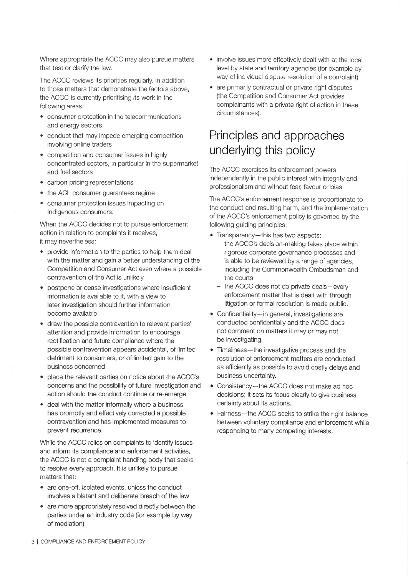Where appropriate the ACCC may also pursue matters that test or clarify the law.

The ACCC reviews its priorities regularly. In addition to those matters that demonstrate the factors above, the ACCC is currently prioritising its work in the following areas:

- . consumer protection in the telecommunications and energy sectors
- conduct that may impede emerging competition involving online traders
- . competition and consumer issues in highly concentrated sectors, in particular in the supermarket and fuel sectors The ACCC exercises its enforcement powers
- carbon pricing representations
- the ACL consumer guarantees regime
- ê consumer protection issues impacting on Indigenous consumers.

When the ACCC decides not to pursue enforcement action in relation to complaints it receives, it may nevertheless:

- provide information to the parties to help them deal with the matter and gain a better understanding of the Competition and Consumer Act even where a possible contravention of the Act is unlikely
- postpone or cease investigations where insufficient information is available to it, with a view to later investigation should further information become available
- draw the possible contravention to relevant parties' attention and provide information to encourage rectification and future compliance where the possible contravention appears accidental, of limited detriment to consumers, or of limited gain to the business concerned
- place the relevant parties on notice about the ACCC's concerns and the possibility of future investigation and action should the conduct continue or re-emerge
- deal with the matter informally where a business has promptly and effectively corrected a possible contravention and has imolemented measures to prevent recurrence.

While the ACCC relies on complaints to identify issues and inform its compliance and enforcement activities, the ACCC is not a complaint handling body that seeks to resolve every approach. lt is unlikely to pursue matters that:

- are one-off, isolated events, unless the conduct involves a blatant and deliberate breach of the law
- . are more appropriately resolved directly between the parties under an industry code (for example by way of mediation)
- involve issues more effectively dealt with at the local level by state and territory agencies (for example by way of individual dispute resolution of a complaint)
- are primarily contractual or private right disputes (the Competition and Consumer Act provides complainants with a private right of action in these circumstances).

## Principles and approaches underlying this policy

independently in the public interest with integrity and professionalism and without fear, favour or bias.

The ACCC's enforcement response is proportionate to the conduct and resulting harm, and the implementation of the ACCC's enforcement policy is governed by the following guiding principles:

- Transparency-this has two aspects:
	- the ACCC's decision-making takes place within rigorous corporate governance processes and is able to be reviewed by a range of agencies, including the Commonwealth Ombudsman and the courts
	- the ACCC does not do private deals-every enforcement matter that is dealt with through litigation or formal resolution is made public.
- Confidentiality-in general, investigations are conducted confidentially and the ACCC does not comment on matters it may or may not be investigating.
- Timeliness-the investigative process and the resolution of enforcement matters are conducted as efficiently as possible to avoid costly delays and business uncertainty.
- Consistency-the ACCC does not make ad hoc decisions; it sets its focus clearly to give business certainty about its actions.
- Fairness-the ACCC seeks to strike the right balance between voluntary compliance and enforcement while responding to many competing interests.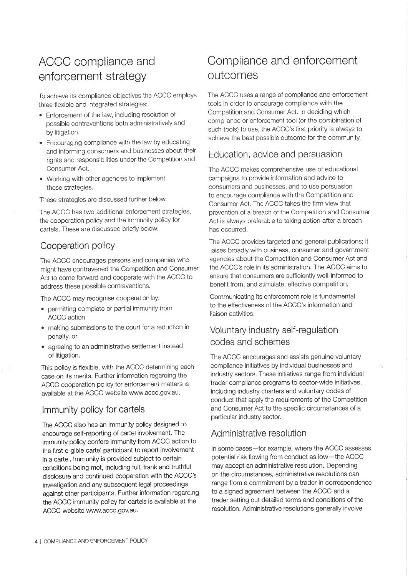## enforcement strategy outcomes

To achieve its compliance objectives the ACCC employs three flexible and integrated strategies:

- . Enforcement of the law, including resolution of possible contraventions both administratively and by litigation.
- . Encouraging compliance with the law by educatlng and informing consumers and businesses about their rights and responsibilities under the Competition and Consumer Act.
- Working with other agencies to implement these strategies.

These strategies are discussed further below.

The ACCC has two additional enforcement strategies, the cooperation policy and the immunity policy for cartels. These are discussed briefly below.

#### Cooperation policy

The ACCC encourages persons and companies who might have contravened the Competition and Consumer Act to come forward and cooperate with the ACCC to address these possible contraventions.

The ACCC may recognise cooperation by:

- . permitting complete or partial immunity from ACCC action
- . making submissions to the court for a reduction in penalty, or
- . agreeing to an administrative settlement instead of litigation.

This policy is flexible, with the ACCC determining each case on its merits. Further informatìon regarding the ACCC cooperation policy for enforcement matters is available at the ACCC website www.accc.gov.au.

#### lmmunity policy for cartels

The ACCC also has an immunity policy designed to encourage self-reporting of cartel involvement. The immunity policy confers immunity from ACCC action to the first eligible cartel participant to report involvement in a cartel. lmmunity is provided subject to certain conditions being met, including full, frank and truthful disclosure and continued cooperation with the ACCC's investigation and any subsequent legal proceedings against other participants. Further information regarding the ACCC immunity policy for cartels is available at the ACCC website www.accc.gov.au.

# ACCC compliance and Compliance and enforcement

The ACCC uses a range of compliance and enforcement tools in order to encourage compliance with the Competìtion and Consumer Act. In deciding which compliance or enforcement tool (or the combination of such tools) to use, the ACCC's first priority is always to achieve the best possible outcome for the community.

#### Education, advice and persuasion

The ACCC makes comprehensive use of educational campaigns to provide information and advice to consumers and businesses, and to use persuasion to encourage compliance with the Competition and Consumer Act. The ACCC takes the firm view that prevention of a breach of the Competition and Consumer Act is always preferable to taking action after a breach has occurred.

The ACCC provides targeted and general publications; it liaises broadly with business, consumer and government agencies about the Competition and Consumer Act and the ACCC's role in its administration. The ACCC aims to ensure that consumers are sufficiently well-informed to benefit from, and stimulate, effective competition.

Communicating its enforcement role is fundamental to the effectiveness of the ACCC's information and liaison activities.

#### Voluntary industry self-regulation codes and schemes

The ACCC encourages and assists genuine voluntary compliance initiatives by individual businesses and industry sectors. These initiatives range from individual trader compliance programs to sector-wide initiatives, including industry charters and voluntary codes of conduct that apply the requirements of the Competition and Consumer Act to the specific circumstances of a particular industry sector.

#### Administrative resolution

In some cases-for example, where the ACCC assesses potential risk flowing from conduct as low-the ACCC may accept an administrative resolution. Depending on the circumstances, administrative resolutions can range from a commitment by a trader in correspondence to a signed agreement between the ACCC and a trader setting out detailed terms and conditions of the resolution. Administrative resolutions generally involve